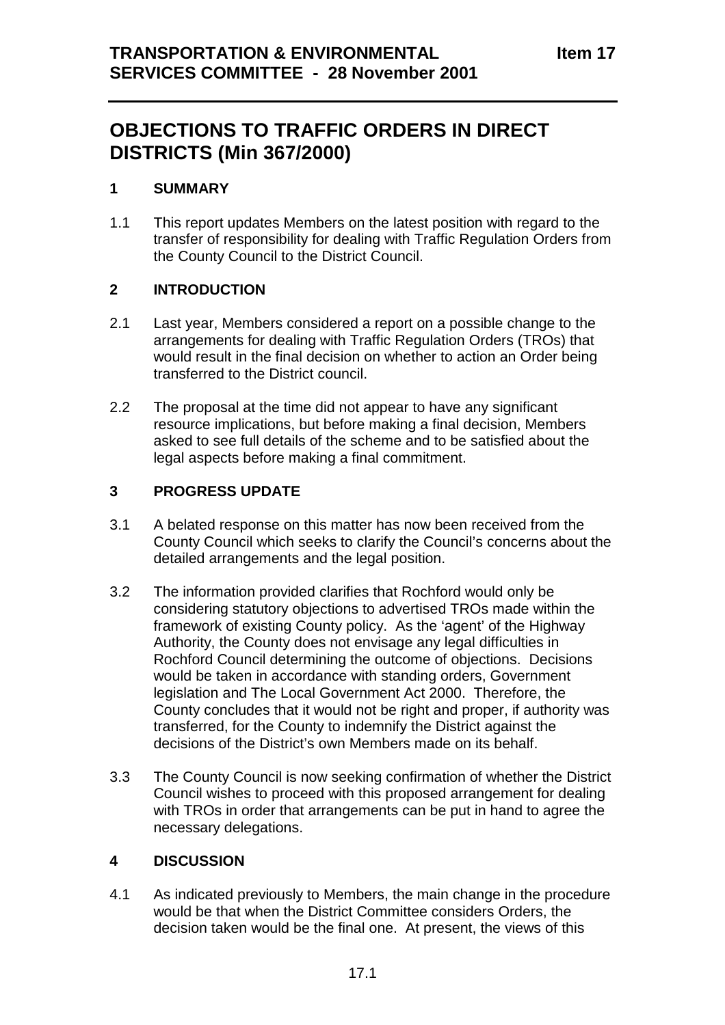# **OBJECTIONS TO TRAFFIC ORDERS IN DIRECT DISTRICTS (Min 367/2000)**

# **1 SUMMARY**

1.1 This report updates Members on the latest position with regard to the transfer of responsibility for dealing with Traffic Regulation Orders from the County Council to the District Council.

# **2 INTRODUCTION**

- 2.1 Last year, Members considered a report on a possible change to the arrangements for dealing with Traffic Regulation Orders (TROs) that would result in the final decision on whether to action an Order being transferred to the District council.
- 2.2 The proposal at the time did not appear to have any significant resource implications, but before making a final decision, Members asked to see full details of the scheme and to be satisfied about the legal aspects before making a final commitment.

# **3 PROGRESS UPDATE**

- 3.1 A belated response on this matter has now been received from the County Council which seeks to clarify the Council's concerns about the detailed arrangements and the legal position.
- 3.2 The information provided clarifies that Rochford would only be considering statutory objections to advertised TROs made within the framework of existing County policy. As the 'agent' of the Highway Authority, the County does not envisage any legal difficulties in Rochford Council determining the outcome of objections. Decisions would be taken in accordance with standing orders, Government legislation and The Local Government Act 2000. Therefore, the County concludes that it would not be right and proper, if authority was transferred, for the County to indemnify the District against the decisions of the District's own Members made on its behalf.
- 3.3 The County Council is now seeking confirmation of whether the District Council wishes to proceed with this proposed arrangement for dealing with TROs in order that arrangements can be put in hand to agree the necessary delegations.

# **4 DISCUSSION**

4.1 As indicated previously to Members, the main change in the procedure would be that when the District Committee considers Orders, the decision taken would be the final one. At present, the views of this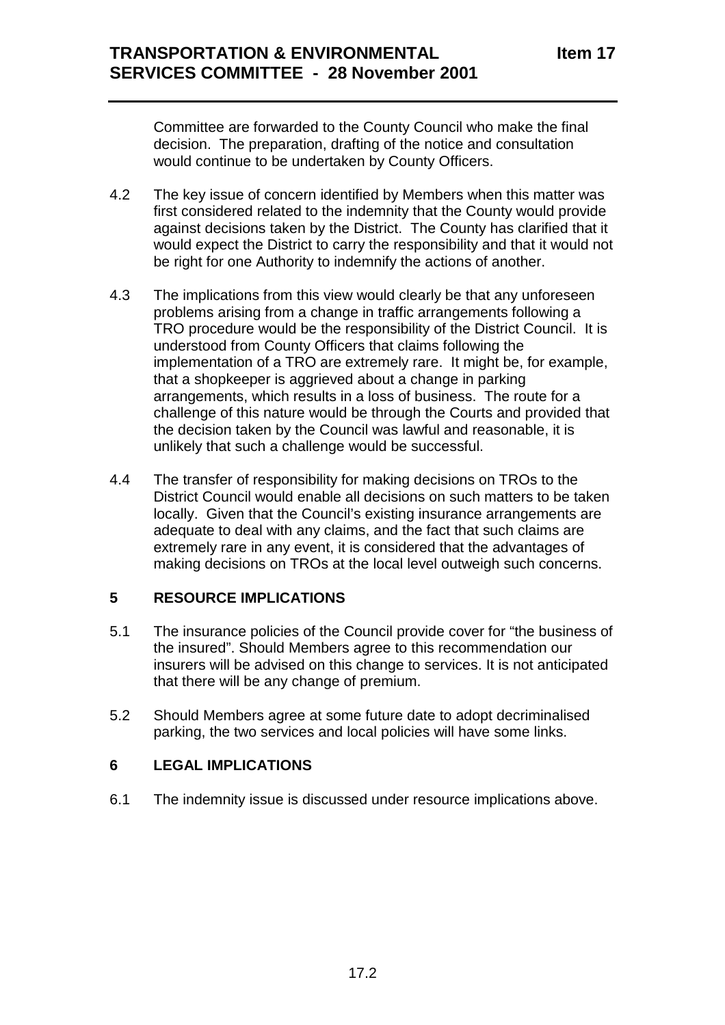Committee are forwarded to the County Council who make the final decision. The preparation, drafting of the notice and consultation would continue to be undertaken by County Officers.

- 4.2 The key issue of concern identified by Members when this matter was first considered related to the indemnity that the County would provide against decisions taken by the District. The County has clarified that it would expect the District to carry the responsibility and that it would not be right for one Authority to indemnify the actions of another.
- 4.3 The implications from this view would clearly be that any unforeseen problems arising from a change in traffic arrangements following a TRO procedure would be the responsibility of the District Council. It is understood from County Officers that claims following the implementation of a TRO are extremely rare. It might be, for example, that a shopkeeper is aggrieved about a change in parking arrangements, which results in a loss of business. The route for a challenge of this nature would be through the Courts and provided that the decision taken by the Council was lawful and reasonable, it is unlikely that such a challenge would be successful.
- 4.4 The transfer of responsibility for making decisions on TROs to the District Council would enable all decisions on such matters to be taken locally. Given that the Council's existing insurance arrangements are adequate to deal with any claims, and the fact that such claims are extremely rare in any event, it is considered that the advantages of making decisions on TROs at the local level outweigh such concerns.

## **5 RESOURCE IMPLICATIONS**

- 5.1 The insurance policies of the Council provide cover for "the business of the insured". Should Members agree to this recommendation our insurers will be advised on this change to services. It is not anticipated that there will be any change of premium.
- 5.2 Should Members agree at some future date to adopt decriminalised parking, the two services and local policies will have some links.

## **6 LEGAL IMPLICATIONS**

6.1 The indemnity issue is discussed under resource implications above.